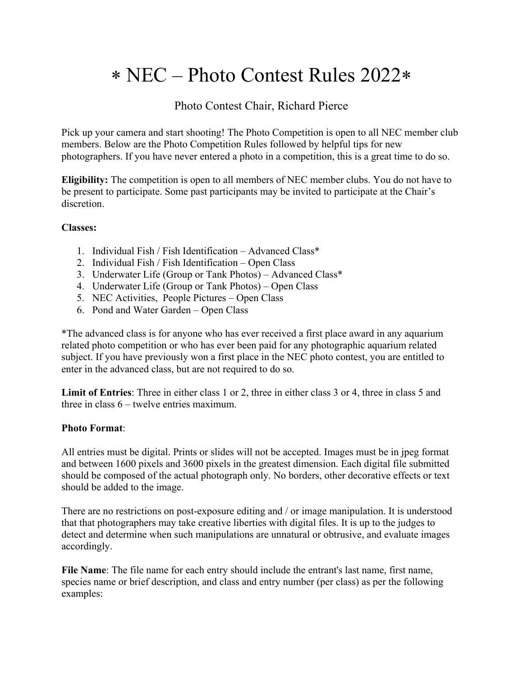# NEC – Photo Contest Rules 2022

# Photo Contest Chair, Richard Pierce

Pick up your camera and start shooting! The Photo Competition is open to all NEC member club members. Below are the Photo Competition Rules followed by helpful tips for new photographers. If you have never entered a photo in a competition, this is a great time to do so.

**Eligibility:** The competition is open to all members of NEC member clubs. You do not have to be present to participate. Some past participants may be invited to participate at the Chair's discretion.

### **Classes:**

- 1. Individual Fish / Fish Identification Advanced Class\*
- 2. Individual Fish / Fish Identification Open Class
- 3. Underwater Life (Group or Tank Photos) Advanced Class\*
- 4. Underwater Life (Group or Tank Photos) Open Class
- 5. NEC Activities, People Pictures Open Class
- 6. Pond and Water Garden Open Class

\*The advanced class is for anyone who has ever received a first place award in any aquarium related photo competition or who has ever been paid for any photographic aquarium related subject. If you have previously won a first place in the NEC photo contest, you are entitled to enter in the advanced class, but are not required to do so.

**Limit of Entries**: Three in either class 1 or 2, three in either class 3 or 4, three in class 5 and three in class 6 – twelve entries maximum.

#### **Photo Format**:

All entries must be digital. Prints or slides will not be accepted. Images must be in jpeg format and between 1600 pixels and 3600 pixels in the greatest dimension. Each digital file submitted should be composed of the actual photograph only. No borders, other decorative effects or text should be added to the image.

There are no restrictions on post-exposure editing and / or image manipulation. It is understood that that photographers may take creative liberties with digital files. It is up to the judges to detect and determine when such manipulations are unnatural or obtrusive, and evaluate images accordingly.

**File Name**: The file name for each entry should include the entrant's last name, first name, species name or brief description, and class and entry number (per class) as per the following examples: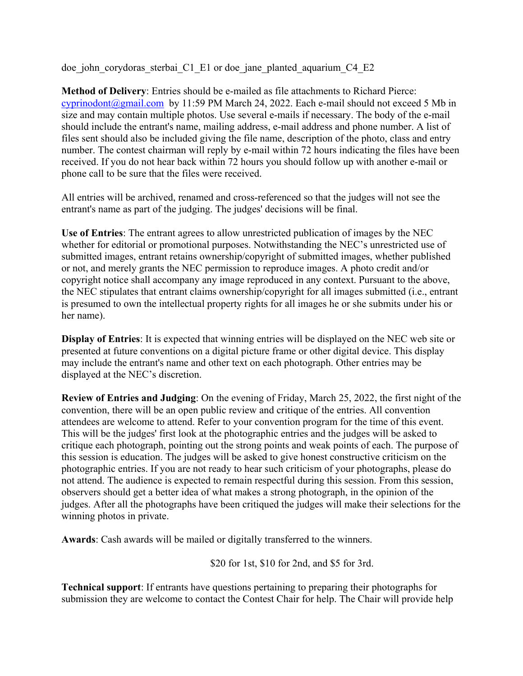doe john corydoras sterbai C1 E1 or doe jane planted aquarium C4 E2

**Method of Delivery**: Entries should be e-mailed as file attachments to Richard Pierce: cyprinodont@gmail.com by 11:59 PM March 24, 2022. Each e-mail should not exceed 5 Mb in size and may contain multiple photos. Use several e-mails if necessary. The body of the e-mail should include the entrant's name, mailing address, e-mail address and phone number. A list of files sent should also be included giving the file name, description of the photo, class and entry number. The contest chairman will reply by e-mail within 72 hours indicating the files have been received. If you do not hear back within 72 hours you should follow up with another e-mail or phone call to be sure that the files were received.

All entries will be archived, renamed and cross-referenced so that the judges will not see the entrant's name as part of the judging. The judges' decisions will be final.

**Use of Entries**: The entrant agrees to allow unrestricted publication of images by the NEC whether for editorial or promotional purposes. Notwithstanding the NEC's unrestricted use of submitted images, entrant retains ownership/copyright of submitted images, whether published or not, and merely grants the NEC permission to reproduce images. A photo credit and/or copyright notice shall accompany any image reproduced in any context. Pursuant to the above, the NEC stipulates that entrant claims ownership/copyright for all images submitted (i.e., entrant is presumed to own the intellectual property rights for all images he or she submits under his or her name).

**Display of Entries**: It is expected that winning entries will be displayed on the NEC web site or presented at future conventions on a digital picture frame or other digital device. This display may include the entrant's name and other text on each photograph. Other entries may be displayed at the NEC's discretion.

**Review of Entries and Judging**: On the evening of Friday, March 25, 2022, the first night of the convention, there will be an open public review and critique of the entries. All convention attendees are welcome to attend. Refer to your convention program for the time of this event. This will be the judges' first look at the photographic entries and the judges will be asked to critique each photograph, pointing out the strong points and weak points of each. The purpose of this session is education. The judges will be asked to give honest constructive criticism on the photographic entries. If you are not ready to hear such criticism of your photographs, please do not attend. The audience is expected to remain respectful during this session. From this session, observers should get a better idea of what makes a strong photograph, in the opinion of the judges. After all the photographs have been critiqued the judges will make their selections for the winning photos in private.

**Awards**: Cash awards will be mailed or digitally transferred to the winners.

\$20 for 1st, \$10 for 2nd, and \$5 for 3rd.

**Technical support**: If entrants have questions pertaining to preparing their photographs for submission they are welcome to contact the Contest Chair for help. The Chair will provide help